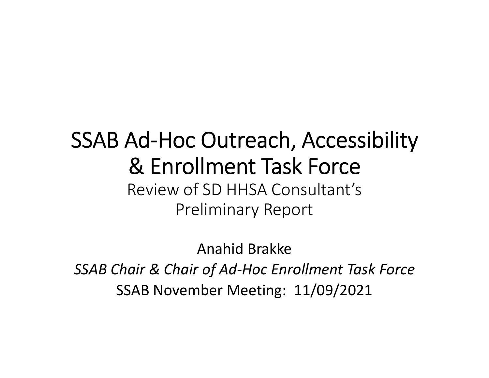#### SSAB Ad‐Hoc Outreach, Accessibility & Enrollment Task Force Review of SD HHSA Consultant's Preliminary Report

Anahid Brakke *SSAB Chair & Chair of Ad‐Hoc Enrollment Task Force* SSAB November Meeting: 11/09/2021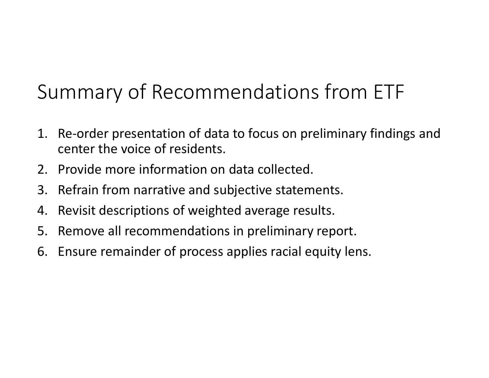# Summary of Recommendations from ETF

- 1. Re‐order presentation of data to focus on preliminary findings and center the voice of residents.
- 2. Provide more information on data collected.
- 3. Refrain from narrative and subjective statements.
- 4. Revisit descriptions of weighted average results.
- 5. Remove all recommendations in preliminary report.
- 6. Ensure remainder of process applies racial equity lens.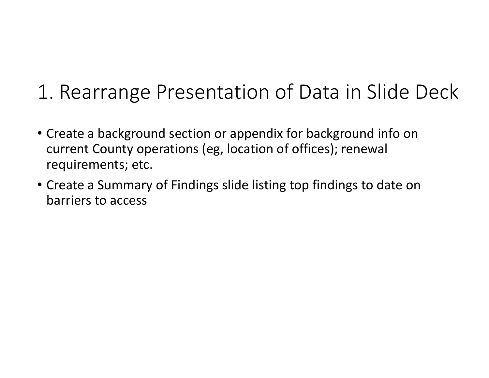### 1. Rearrange Presentation of Data in Slide Deck

- Create <sup>a</sup> background section or appendix for background info on current County operations (eg, location of offices); renewal requirements; etc.
- Create <sup>a</sup> Summary of Findings slide listing top findings to date on barriers to access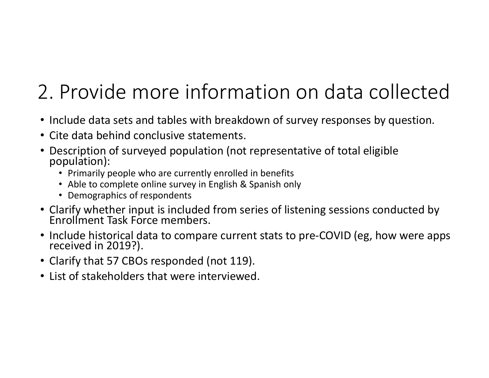# 2. Provide more information on data collected

- Include data sets and tables with breakdown of survey responses by question.
- Cite data behind conclusive statements.
- Description of surveyed population (not representative of total eligible population):
	- Primarily people who are currently enrolled in benefits
	- Able to complete online survey in English & Spanish only
	- Demographics of respondents
- Clarify whether input is included from series of listening sessions conducted by<br>Enrollment Task Force members. t Task Force members.
- Include historical data to compare current stats to pre-COVID (eg, how were apps<br>received in 2019?). received in 2019?).
- Clarify that 57 CBOs responded (not 119).
- List of stakeholders that were interviewed.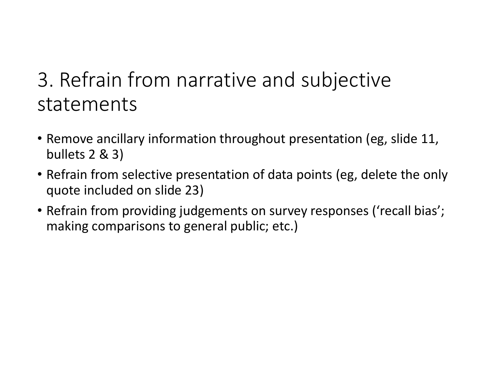### 3. Refrain from narrative and subjective statements

- Remove ancillary information throughout presentation (eg, slide 11, bullets 2 & 3)
- Refrain from selective presentation of data points (eg, delete the only quote included on slide 23)
- Refrain from providing judgements on survey responses ('recall bias'; making comparisons to general public; etc.)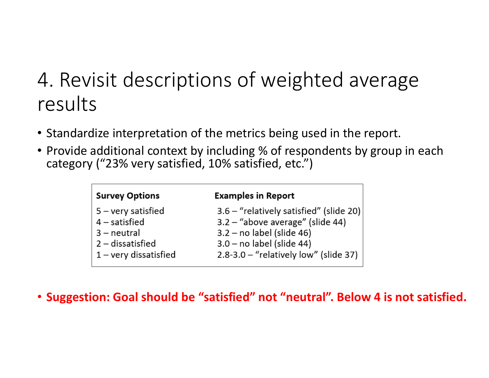## 4. Revisit descriptions of weighted average results

- Standardize interpretation of the metrics being used in the report.
- Provide additional context by including % of respondents by group in each category ("23% very satisfied, 10% satisfied, etc.")

| <b>Survey Options</b>   | <b>Examples in Report</b>                 |
|-------------------------|-------------------------------------------|
| $5 -$ very satisfied    | 3.6 - "relatively satisfied" (slide 20)   |
| $4$ – satisfied         | $3.2 -$ "above average" (slide 44)        |
| 3 - neutral             | $3.2 - no$ label (slide 46)               |
| $2$ – dissatisfied      | $3.0 - no$ label (slide 44)               |
| $1 -$ very dissatisfied | $2.8 - 3.0 -$ "relatively low" (slide 37) |
|                         |                                           |

• **Suggestion: Goal should be "satisfied" not "neutral". Below 4 is not satisfied.**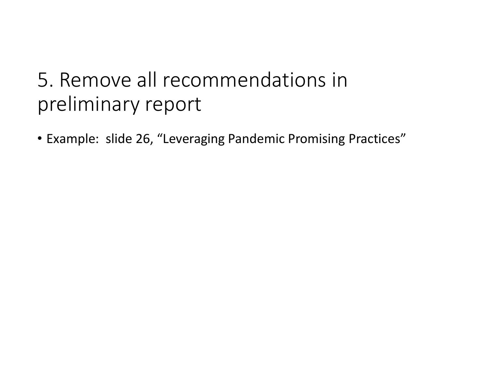## 5. Remove all recommendations inpreliminary report

• Example: slide 26, "Leveraging Pandemic Promising Practices"